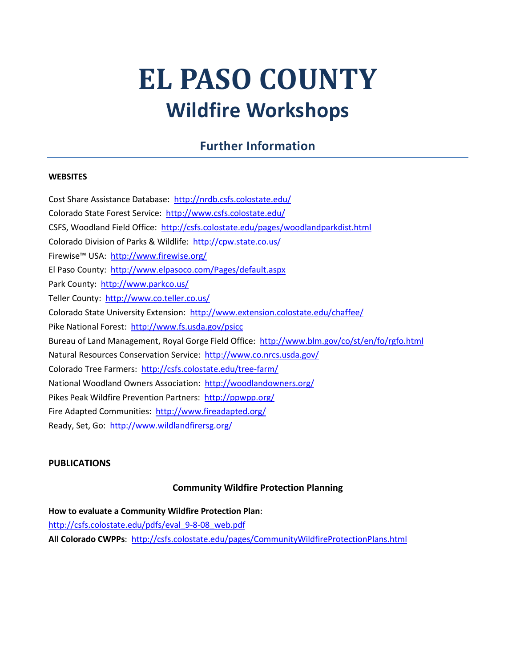# **EL PASO COUNTY Wildfire Workshops**

# **Further Information**

#### **WEBSITES**

Cost Share Assistance Database:<http://nrdb.csfs.colostate.edu/> Colorado State Forest Service: <http://www.csfs.colostate.edu/> CSFS, Woodland Field Office: <http://csfs.colostate.edu/pages/woodlandparkdist.html> Colorado Division of Parks & Wildlife: <http://cpw.state.co.us/> Firewise™ USA: <http://www.firewise.org/> El Paso County: <http://www.elpasoco.com/Pages/default.aspx> Park County:<http://www.parkco.us/> Teller County: <http://www.co.teller.co.us/> Colorado State University Extension:<http://www.extension.colostate.edu/chaffee/> Pike National Forest: <http://www.fs.usda.gov/psicc> Bureau of Land Management, Royal Gorge Field Office: <http://www.blm.gov/co/st/en/fo/rgfo.html> Natural Resources Conservation Service: <http://www.co.nrcs.usda.gov/> Colorado Tree Farmers: <http://csfs.colostate.edu/tree-farm/> National Woodland Owners Association: <http://woodlandowners.org/> Pikes Peak Wildfire Prevention Partners:<http://ppwpp.org/> Fire Adapted Communities: <http://www.fireadapted.org/> Ready, Set, Go:<http://www.wildlandfirersg.org/>

#### **PUBLICATIONS**

#### **Community Wildfire Protection Planning**

**How to evaluate a Community Wildfire Protection Plan**: [http://csfs.colostate.edu/pdfs/eval\\_9-8-08\\_web.pdf](http://csfs.colostate.edu/pdfs/eval_9-8-08_web.pdf) **All Colorado CWPPs**: <http://csfs.colostate.edu/pages/CommunityWildfireProtectionPlans.html>